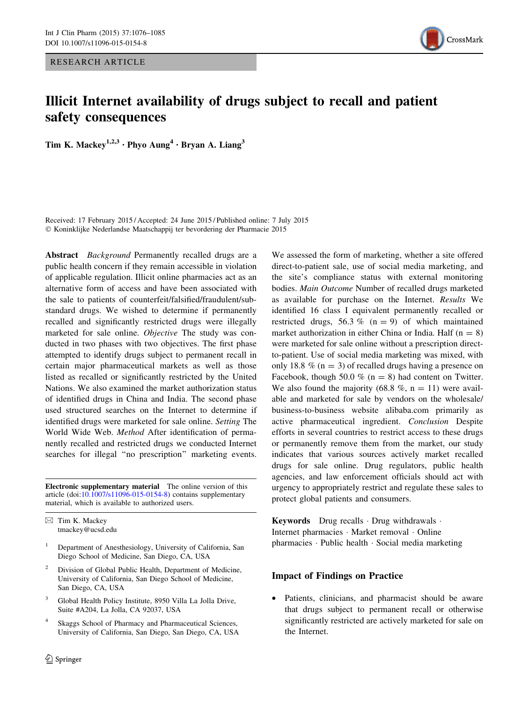RESEARCH ARTICLE



# Illicit Internet availability of drugs subject to recall and patient safety consequences

Tim K. Mackey<sup>1,2,3</sup> · Phyo Aung<sup>4</sup> · Bryan A. Liang<sup>3</sup>

Received: 17 February 2015 / Accepted: 24 June 2015 / Published online: 7 July 2015 - Koninklijke Nederlandse Maatschappij ter bevordering der Pharmacie 2015

Abstract Background Permanently recalled drugs are a public health concern if they remain accessible in violation of applicable regulation. Illicit online pharmacies act as an alternative form of access and have been associated with the sale to patients of counterfeit/falsified/fraudulent/substandard drugs. We wished to determine if permanently recalled and significantly restricted drugs were illegally marketed for sale online. Objective The study was conducted in two phases with two objectives. The first phase attempted to identify drugs subject to permanent recall in certain major pharmaceutical markets as well as those listed as recalled or significantly restricted by the United Nations. We also examined the market authorization status of identified drugs in China and India. The second phase used structured searches on the Internet to determine if identified drugs were marketed for sale online. Setting The World Wide Web. Method After identification of permanently recalled and restricted drugs we conducted Internet searches for illegal ''no prescription'' marketing events.

Electronic supplementary material The online version of this article (doi:[10.1007/s11096-015-0154-8\)](http://dx.doi.org/10.1007/s11096-015-0154-8) contains supplementary material, which is available to authorized users.

 $\boxtimes$  Tim K. Mackey tmackey@ucsd.edu

- <sup>1</sup> Department of Anesthesiology, University of California, San Diego School of Medicine, San Diego, CA, USA
- <sup>2</sup> Division of Global Public Health, Department of Medicine, University of California, San Diego School of Medicine, San Diego, CA, USA
- <sup>3</sup> Global Health Policy Institute, 8950 Villa La Jolla Drive, Suite #A204, La Jolla, CA 92037, USA
- Skaggs School of Pharmacy and Pharmaceutical Sciences, University of California, San Diego, San Diego, CA, USA

We assessed the form of marketing, whether a site offered direct-to-patient sale, use of social media marketing, and the site's compliance status with external monitoring bodies. Main Outcome Number of recalled drugs marketed as available for purchase on the Internet. Results We identified 16 class I equivalent permanently recalled or restricted drugs, 56.3 % (n = 9) of which maintained market authorization in either China or India. Half  $(n = 8)$ were marketed for sale online without a prescription directto-patient. Use of social media marketing was mixed, with only 18.8 % ( $n = 3$ ) of recalled drugs having a presence on Facebook, though 50.0 % ( $n = 8$ ) had content on Twitter. We also found the majority (68.8 %,  $n = 11$ ) were available and marketed for sale by vendors on the wholesale/ business-to-business website alibaba.com primarily as active pharmaceutical ingredient. Conclusion Despite efforts in several countries to restrict access to these drugs or permanently remove them from the market, our study indicates that various sources actively market recalled drugs for sale online. Drug regulators, public health agencies, and law enforcement officials should act with urgency to appropriately restrict and regulate these sales to protect global patients and consumers.

Keywords Drug recalls - Drug withdrawals - Internet pharmacies - Market removal - Online pharmacies - Public health - Social media marketing

# Impact of Findings on Practice

Patients, clinicians, and pharmacist should be aware that drugs subject to permanent recall or otherwise significantly restricted are actively marketed for sale on the Internet.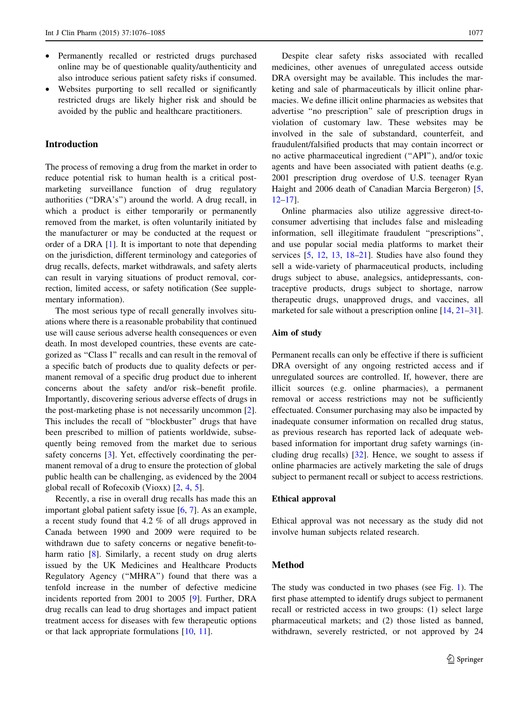- Permanently recalled or restricted drugs purchased online may be of questionable quality/authenticity and also introduce serious patient safety risks if consumed.
- Websites purporting to sell recalled or significantly restricted drugs are likely higher risk and should be avoided by the public and healthcare practitioners.

#### Introduction

The process of removing a drug from the market in order to reduce potential risk to human health is a critical postmarketing surveillance function of drug regulatory authorities (''DRA's'') around the world. A drug recall, in which a product is either temporarily or permanently removed from the market, is often voluntarily initiated by the manufacturer or may be conducted at the request or order of a DRA [\[1](#page-8-0)]. It is important to note that depending on the jurisdiction, different terminology and categories of drug recalls, defects, market withdrawals, and safety alerts can result in varying situations of product removal, correction, limited access, or safety notification (See supplementary information).

The most serious type of recall generally involves situations where there is a reasonable probability that continued use will cause serious adverse health consequences or even death. In most developed countries, these events are categorized as ''Class I'' recalls and can result in the removal of a specific batch of products due to quality defects or permanent removal of a specific drug product due to inherent concerns about the safety and/or risk–benefit profile. Importantly, discovering serious adverse effects of drugs in the post-marketing phase is not necessarily uncommon [\[2](#page-8-0)]. This includes the recall of ''blockbuster'' drugs that have been prescribed to million of patients worldwide, subsequently being removed from the market due to serious safety concerns [\[3](#page-8-0)]. Yet, effectively coordinating the permanent removal of a drug to ensure the protection of global public health can be challenging, as evidenced by the 2004 global recall of Rofecoxib (Vioxx) [\[2](#page-8-0), [4,](#page-8-0) [5](#page-8-0)].

Recently, a rise in overall drug recalls has made this an important global patient safety issue [\[6](#page-8-0), [7](#page-8-0)]. As an example, a recent study found that 4.2 % of all drugs approved in Canada between 1990 and 2009 were required to be withdrawn due to safety concerns or negative benefit-to-harm ratio [\[8](#page-8-0)]. Similarly, a recent study on drug alerts issued by the UK Medicines and Healthcare Products Regulatory Agency (''MHRA'') found that there was a tenfold increase in the number of defective medicine incidents reported from 2001 to 2005 [[9\]](#page-8-0). Further, DRA drug recalls can lead to drug shortages and impact patient treatment access for diseases with few therapeutic options or that lack appropriate formulations [[10,](#page-8-0) [11\]](#page-8-0).

Despite clear safety risks associated with recalled medicines, other avenues of unregulated access outside DRA oversight may be available. This includes the marketing and sale of pharmaceuticals by illicit online pharmacies. We define illicit online pharmacies as websites that advertise ''no prescription'' sale of prescription drugs in violation of customary law. These websites may be involved in the sale of substandard, counterfeit, and fraudulent/falsified products that may contain incorrect or no active pharmaceutical ingredient (''API''), and/or toxic agents and have been associated with patient deaths (e.g. 2001 prescription drug overdose of U.S. teenager Ryan Haight and 2006 death of Canadian Marcia Bergeron) [[5,](#page-8-0) [12–17](#page-8-0)].

Online pharmacies also utilize aggressive direct-toconsumer advertising that includes false and misleading information, sell illegitimate fraudulent ''prescriptions'', and use popular social media platforms to market their services [\[5,](#page-8-0) [12,](#page-8-0) [13](#page-8-0), [18–21](#page-8-0)]. Studies have also found they sell a wide-variety of pharmaceutical products, including drugs subject to abuse, analegsics, antidepressants, contraceptive products, drugs subject to shortage, narrow therapeutic drugs, unapproved drugs, and vaccines, all marketed for sale without a prescription online [[14,](#page-8-0) [21](#page-8-0)[–31](#page-9-0)].

#### Aim of study

Permanent recalls can only be effective if there is sufficient DRA oversight of any ongoing restricted access and if unregulated sources are controlled. If, however, there are illicit sources (e.g. online pharmacies), a permanent removal or access restrictions may not be sufficiently effectuated. Consumer purchasing may also be impacted by inadequate consumer information on recalled drug status, as previous research has reported lack of adequate webbased information for important drug safety warnings (including drug recalls)  $[32]$  $[32]$  $[32]$ . Hence, we sought to assess if online pharmacies are actively marketing the sale of drugs subject to permanent recall or subject to access restrictions.

## Ethical approval

Ethical approval was not necessary as the study did not involve human subjects related research.

## Method

The study was conducted in two phases (see Fig. [1](#page-2-0)). The first phase attempted to identify drugs subject to permanent recall or restricted access in two groups: (1) select large pharmaceutical markets; and (2) those listed as banned, withdrawn, severely restricted, or not approved by 24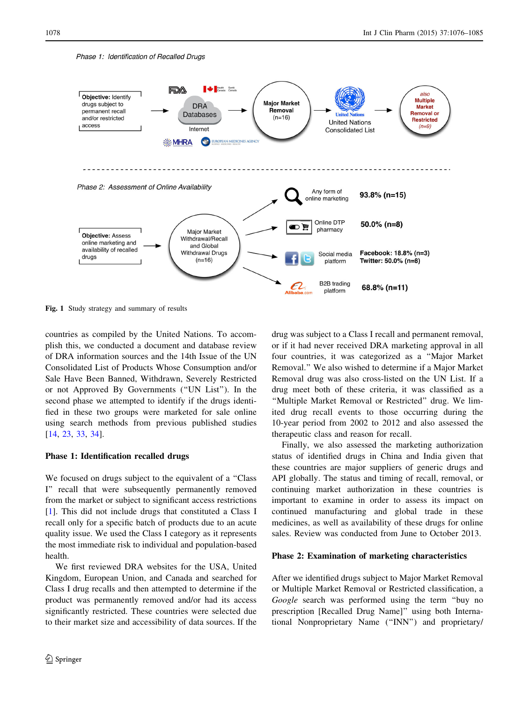

Fig. 1 Study strategy and summary of results

<span id="page-2-0"></span>Phase 1: Identification of Recalled Drugs

countries as compiled by the United Nations. To accomplish this, we conducted a document and database review of DRA information sources and the 14th Issue of the UN Consolidated List of Products Whose Consumption and/or Sale Have Been Banned, Withdrawn, Severely Restricted or not Approved By Governments (''UN List''). In the second phase we attempted to identify if the drugs identified in these two groups were marketed for sale online using search methods from previous published studies [\[14](#page-8-0), [23](#page-8-0), [33,](#page-9-0) [34\]](#page-9-0).

## Phase 1: Identification recalled drugs

We focused on drugs subject to the equivalent of a ''Class I" recall that were subsequently permanently removed from the market or subject to significant access restrictions [\[1](#page-8-0)]. This did not include drugs that constituted a Class I recall only for a specific batch of products due to an acute quality issue. We used the Class I category as it represents the most immediate risk to individual and population-based health.

We first reviewed DRA websites for the USA, United Kingdom, European Union, and Canada and searched for Class I drug recalls and then attempted to determine if the product was permanently removed and/or had its access significantly restricted. These countries were selected due to their market size and accessibility of data sources. If the drug was subject to a Class I recall and permanent removal, or if it had never received DRA marketing approval in all four countries, it was categorized as a ''Major Market Removal.'' We also wished to determine if a Major Market Removal drug was also cross-listed on the UN List. If a drug meet both of these criteria, it was classified as a ''Multiple Market Removal or Restricted'' drug. We limited drug recall events to those occurring during the 10-year period from 2002 to 2012 and also assessed the therapeutic class and reason for recall.

Finally, we also assessed the marketing authorization status of identified drugs in China and India given that these countries are major suppliers of generic drugs and API globally. The status and timing of recall, removal, or continuing market authorization in these countries is important to examine in order to assess its impact on continued manufacturing and global trade in these medicines, as well as availability of these drugs for online sales. Review was conducted from June to October 2013.

## Phase 2: Examination of marketing characteristics

After we identified drugs subject to Major Market Removal or Multiple Market Removal or Restricted classification, a Google search was performed using the term "buy no prescription [Recalled Drug Name]'' using both International Nonproprietary Name (''INN'') and proprietary/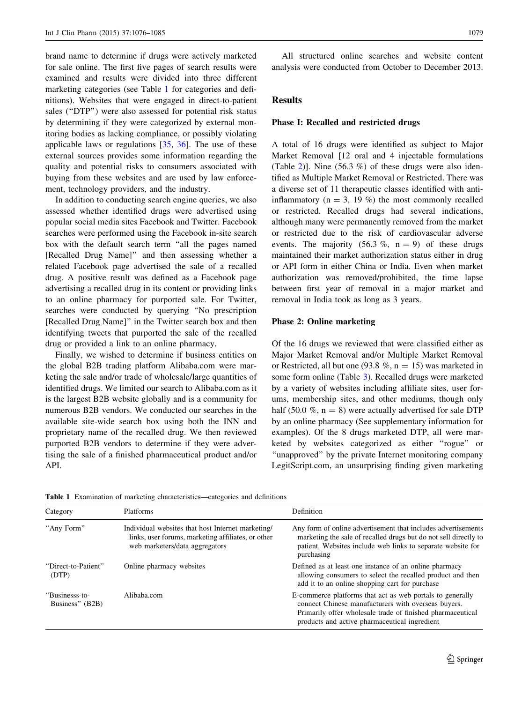brand name to determine if drugs were actively marketed for sale online. The first five pages of search results were examined and results were divided into three different marketing categories (see Table 1 for categories and definitions). Websites that were engaged in direct-to-patient sales (''DTP'') were also assessed for potential risk status by determining if they were categorized by external monitoring bodies as lacking compliance, or possibly violating applicable laws or regulations  $[35, 36]$  $[35, 36]$  $[35, 36]$  $[35, 36]$  $[35, 36]$ . The use of these external sources provides some information regarding the quality and potential risks to consumers associated with buying from these websites and are used by law enforcement, technology providers, and the industry.

In addition to conducting search engine queries, we also assessed whether identified drugs were advertised using popular social media sites Facebook and Twitter. Facebook searches were performed using the Facebook in-site search box with the default search term ''all the pages named [Recalled Drug Name]'' and then assessing whether a related Facebook page advertised the sale of a recalled drug. A positive result was defined as a Facebook page advertising a recalled drug in its content or providing links to an online pharmacy for purported sale. For Twitter, searches were conducted by querying ''No prescription [Recalled Drug Name]" in the Twitter search box and then identifying tweets that purported the sale of the recalled drug or provided a link to an online pharmacy.

Finally, we wished to determine if business entities on the global B2B trading platform Alibaba.com were marketing the sale and/or trade of wholesale/large quantities of identified drugs. We limited our search to Alibaba.com as it is the largest B2B website globally and is a community for numerous B2B vendors. We conducted our searches in the available site-wide search box using both the INN and proprietary name of the recalled drug. We then reviewed purported B2B vendors to determine if they were advertising the sale of a finished pharmaceutical product and/or API.

All structured online searches and website content analysis were conducted from October to December 2013.

# Results

#### Phase I: Recalled and restricted drugs

A total of 16 drugs were identified as subject to Major Market Removal [12 oral and 4 injectable formulations (Table [2\)](#page-4-0)]. Nine  $(56.3 \%)$  of these drugs were also identified as Multiple Market Removal or Restricted. There was a diverse set of 11 therapeutic classes identified with antiinflammatory ( $n = 3$ , 19 %) the most commonly recalled or restricted. Recalled drugs had several indications, although many were permanently removed from the market or restricted due to the risk of cardiovascular adverse events. The majority  $(56.3 \% , n = 9)$  of these drugs maintained their market authorization status either in drug or API form in either China or India. Even when market authorization was removed/prohibited, the time lapse between first year of removal in a major market and removal in India took as long as 3 years.

#### Phase 2: Online marketing

Of the 16 drugs we reviewed that were classified either as Major Market Removal and/or Multiple Market Removal or Restricted, all but one (93.8 %,  $n = 15$ ) was marketed in some form online (Table [3](#page-6-0)). Recalled drugs were marketed by a variety of websites including affiliate sites, user forums, membership sites, and other mediums, though only half (50.0 %,  $n = 8$ ) were actually advertised for sale DTP by an online pharmacy (See supplementary information for examples). Of the 8 drugs marketed DTP, all were marketed by websites categorized as either ''rogue'' or ''unapproved'' by the private Internet monitoring company LegitScript.com, an unsurprising finding given marketing

| Category                          | Platforms                                                                                                                                 | <b>Definition</b>                                                                                                                                                                                                               |
|-----------------------------------|-------------------------------------------------------------------------------------------------------------------------------------------|---------------------------------------------------------------------------------------------------------------------------------------------------------------------------------------------------------------------------------|
| "Any Form"                        | Individual websites that host Internet marketing/<br>links, user forums, marketing affiliates, or other<br>web marketers/data aggregators | Any form of online advertisement that includes advertisements<br>marketing the sale of recalled drugs but do not sell directly to<br>patient. Websites include web links to separate website for<br>purchasing                  |
| "Direct-to-Patient"<br>(DTP)      | Online pharmacy websites                                                                                                                  | Defined as at least one instance of an online pharmacy<br>allowing consumers to select the recalled product and then<br>add it to an online shopping cart for purchase                                                          |
| "Businesss-to-<br>Business" (B2B) | Alibaba.com                                                                                                                               | E-commerce platforms that act as web portals to generally<br>connect Chinese manufacturers with overseas buyers.<br>Primarily offer wholesale trade of finished pharmaceutical<br>products and active pharmaceutical ingredient |

Table 1 Examination of marketing characteristics—categories and definitions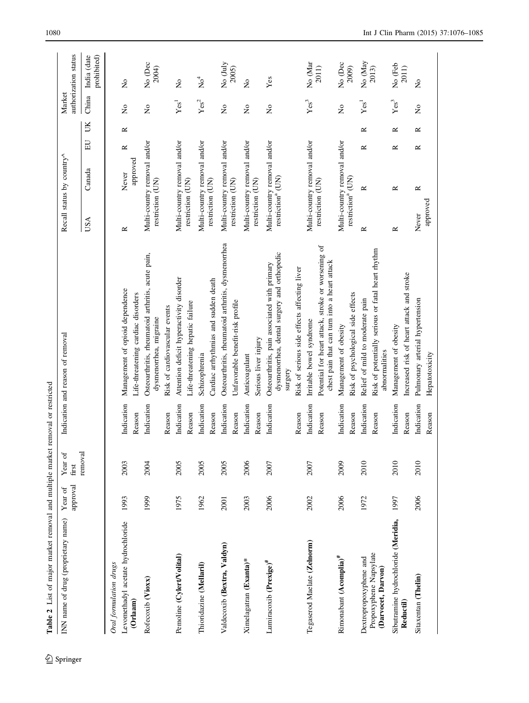<span id="page-4-0"></span>

| INN name of drug (proprietary name)            | approval<br>Year of | Year of<br>first |                      | Indication and reason of removal                                                                       | Recall status by country <sup>^</sup>                         |           |           | Market                    | authorization status       |
|------------------------------------------------|---------------------|------------------|----------------------|--------------------------------------------------------------------------------------------------------|---------------------------------------------------------------|-----------|-----------|---------------------------|----------------------------|
|                                                |                     | removal          |                      |                                                                                                        | Canada<br>USA                                                 | EU        | UK        | China                     | India (date<br>prohibited) |
| Oral formulation drugs                         |                     |                  |                      |                                                                                                        |                                                               |           |           |                           |                            |
| Levomethadyl acetate hydrochloride<br>(Orlaam) | 1993                | 2003             | Indication<br>Reason | Management of opioid dependence<br>Life-threatening cardiac disorders                                  | approved<br>Never<br>≃                                        | $\approx$ | $\approx$ | $\tilde{z}$               | $\tilde{z}$                |
| Rofecoxib (Vioxx)                              | 1999                | 2004             | Indication           | Osteoarthritis, rheumatoid arthritis, acute pain,<br>dysmenorrhea, migraine                            | Multi-country removal and/or<br>restriction (UN)              |           |           | $\tilde{z}$               | No (Dec<br>2004)           |
|                                                |                     |                  | Reason               | Risk of cardiovascular events                                                                          |                                                               |           |           |                           |                            |
| Pemoline (Cylert/Volital)                      | 1975                | 2005             | Indication           | Attention deficit hyperactivity disorder                                                               | Multi-country removal and/or                                  |           |           | Yes <sup>1</sup>          | $\overline{\mathsf{z}}$    |
|                                                |                     |                  | Reason               | Life-threatening hepatic failure                                                                       | restriction (UN)                                              |           |           |                           |                            |
| Thioridazine (Mellaril)                        | 1962                | 2005             | Indication           | Schizophrenia                                                                                          | Multi-country removal and/or                                  |           |           | $\mathbf{Yes}^2$          | $\mathrm{No}^4$            |
|                                                |                     |                  | Reason               | Cardiac arrhythmias and sudden death                                                                   | restriction (UN)                                              |           |           |                           |                            |
| Valdecoxib (Bextra, Valdyn)                    | 2001                | 2005             | Indication           | Osteoarthritis, rheumatoid arthritis, dysmenorrhea                                                     | Multi-country removal and/or                                  |           |           | $\overline{z}$            | No (July                   |
|                                                |                     |                  | Reason               | Unfavorable benefit-risk profile                                                                       | restriction (UN)                                              |           |           |                           | 2005)                      |
| Ximelagatran (Exanta)*                         | 2003                | 2006             | Indication           | Anticoagulant                                                                                          | Multi-country removal and/or                                  |           |           | $\mathsf{S}^{\mathsf{o}}$ | $\overline{\mathsf{z}}$    |
|                                                |                     |                  | Reason               | Serious liver injury                                                                                   | restriction (UN)                                              |           |           |                           |                            |
| Lumiracoxib (Prexige) <sup>#</sup>             | 2006                | 2007             | Indication           | dysmenorrhea, dental surgery and orthopedic<br>Osteoarthritis, pain associated with primary<br>surgery | Multi-country removal and/or<br>restriction <sup>a</sup> (UN) |           |           | $\tilde{z}$               | Yes                        |
|                                                |                     |                  | Reason               | Risk of serious side effects affecting liver                                                           |                                                               |           |           |                           |                            |
| Tegaserod Maelate (Zelnorm)                    | 2002                | 2007             | Indication           | Irritable bowel syndrome                                                                               | Multi-country removal and/or                                  |           |           | Yes <sup>3</sup>          | No (Mar                    |
|                                                |                     |                  | Reason               | Potential for heart attack, stroke or worsening of<br>chest pain that can turn into a heart attack     | restriction (UN)                                              |           |           |                           | 2011)                      |
| Rimonabant (Acomplia) <sup>#</sup>             | 2006                | 2009             | Indication           | Management of obesity                                                                                  | Multi-country removal and/or                                  |           |           | Ş                         | No (Dec                    |
|                                                |                     |                  | Reason               | Risk of psychological side effects                                                                     | restriction <sup>a</sup> (UN)                                 |           |           |                           | 2009)                      |
| Dextropropoxyphene and                         | 1972                | 2010             | Indication           | Relief of mild to moderate pain                                                                        | ≃<br>≃                                                        | ≃         | ≃         | Yes <sup>1</sup>          | No May                     |
| Propoxyphene Napsylate<br>(Darvocet, Darvon)   |                     |                  | Reason               | Risk of potentially serious or fatal heart rhythm<br>abnormalities                                     |                                                               |           |           |                           | 2013)                      |
| Sibutramine hydrochloride (Meridia,            | 1997                | 2010             | Indication           | Management of obesity                                                                                  | ≃<br>≃                                                        | ≃         | ≃         | $\mathbf{Yes}^3$          | No (Feb                    |
| Reductil)                                      |                     |                  | Reason               | Increased risk of heart attack and stroke                                                              |                                                               |           |           |                           | 2011)                      |
| Sitaxentan (Thelin)                            | 2006                | 2010             | Indication           | Pulmonary arterial hypertension                                                                        | ≃<br>Never                                                    | $\approx$ | $\approx$ | $\mathsf{\hat{z}}$        | $\mathsf{S}^{\mathsf{o}}$  |
|                                                |                     |                  | Reason               | Hepatotoxicity                                                                                         | approved                                                      |           |           |                           |                            |

Table 2 List of major market removal and multiple market removal or restricted Table 2 List of major market removal and multiple market removal or restricted

 $\underline{\textcircled{\tiny 2}}$  Springer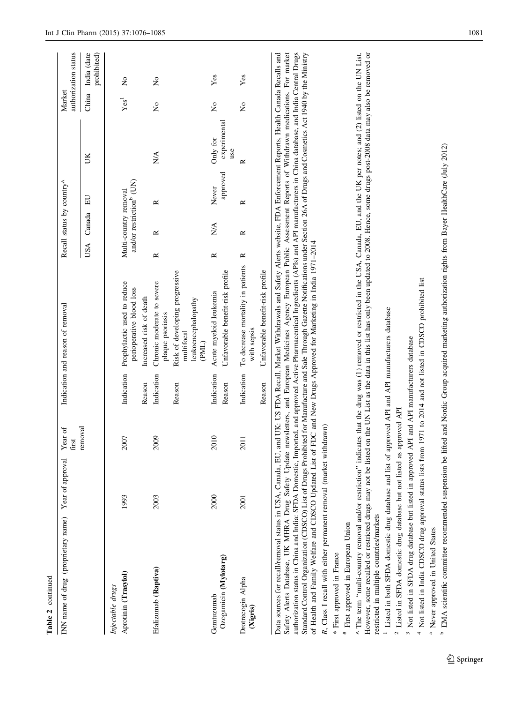| Table 2 continued                                                                                                                                                                                                                                                                                                                                                                                                                                                                                                                                                                                                               |                  |                |                      |                                                                                                                                                                                                                                               |                  |                                       |                                 |                           |                            |
|---------------------------------------------------------------------------------------------------------------------------------------------------------------------------------------------------------------------------------------------------------------------------------------------------------------------------------------------------------------------------------------------------------------------------------------------------------------------------------------------------------------------------------------------------------------------------------------------------------------------------------|------------------|----------------|----------------------|-----------------------------------------------------------------------------------------------------------------------------------------------------------------------------------------------------------------------------------------------|------------------|---------------------------------------|---------------------------------|---------------------------|----------------------------|
| INN name of drug (proprietary name)                                                                                                                                                                                                                                                                                                                                                                                                                                                                                                                                                                                             | Year of approval | ear of<br>irst |                      | Indication and reason of removal                                                                                                                                                                                                              |                  | Recall status by country <sup>^</sup> |                                 | Market                    | authorization status       |
|                                                                                                                                                                                                                                                                                                                                                                                                                                                                                                                                                                                                                                 |                  | removal        |                      |                                                                                                                                                                                                                                               | Canada<br>USA    | EU                                    | UК                              | China                     | India (date<br>prohibited) |
| Aprotinin (Trasylol)<br>Injectable drugs                                                                                                                                                                                                                                                                                                                                                                                                                                                                                                                                                                                        | 1993             | 2007           | Indication           | Prophylactic used to reduce                                                                                                                                                                                                                   |                  | Multi-country removal                 |                                 | Yes <sup>1</sup>          | $\overline{\mathsf{x}}$    |
|                                                                                                                                                                                                                                                                                                                                                                                                                                                                                                                                                                                                                                 |                  |                | Reason               | perioperative blood loss<br>Increased risk of death                                                                                                                                                                                           |                  | and/or restriction <sup>b</sup> (UN)  |                                 |                           |                            |
| Efalizumab (Raptiva)                                                                                                                                                                                                                                                                                                                                                                                                                                                                                                                                                                                                            | 2003             | 2009           | Indication           | Chronic moderate to severe<br>plaque psoriasis                                                                                                                                                                                                | ≃<br>≃           | ≃                                     | <b>N/A</b>                      | $\tilde{z}$               | $\tilde{\mathsf{z}}$       |
|                                                                                                                                                                                                                                                                                                                                                                                                                                                                                                                                                                                                                                 |                  |                | Reason               | Risk of developing progressive<br>leukoencephalopathy<br>multifocal<br>(PML)                                                                                                                                                                  |                  |                                       |                                 |                           |                            |
| Ozogamicin (Mylotarg)<br>Gemtuzumab                                                                                                                                                                                                                                                                                                                                                                                                                                                                                                                                                                                             | 2000             | 2010           | Indication<br>Reason | Unfavorable benefit-risk profile<br>Acute myeloid leukemia                                                                                                                                                                                    | N/A<br>$\approx$ | approved<br>Never                     | experimental<br>Only for<br>use | $\mathsf{S}^{\mathsf{o}}$ | Yes                        |
| Drotrecogin Alpha<br>(Xigris)                                                                                                                                                                                                                                                                                                                                                                                                                                                                                                                                                                                                   | 2001             | 2011           | Indication<br>Reason | To decrease mortality in patients<br>Unfavorable benefit-risk profile<br>with sepsis                                                                                                                                                          | ≃<br>$\approx$   | ≃                                     | ≃                               | $\tilde{z}$               | Yes                        |
| Standard Control Organization (CDSCO) List of Drugs Prohibited for Manufacture and Sale Through Gazette Notifications under Section 26A of Drugs and Cosmetics Act 1940 by the Ministry<br>authorization status in China and India: SFDA Domestic, Imported, and approved Active Pharmaceutical Ingredients (APIs) and API manufacturers in China database, and India Central Drugs<br>of Health and Family Welfare and CDSCO Updated List of FDC and New Drugs Approved for Marketing in India 1971-2014<br>Data sources for recall/removal status in USA, Canada, EU, :<br>Safety Alerts Database, UK MHRA Drug Safety Update |                  |                |                      | newsletters, and European Medicines Agency European Public Assessment Reports of Withdrawn medications. For market<br>and UK: US FDA Recall, Market Withdrawals and Safety Alerts website, FDA Enforcement Reports, Health Canada Recalls and |                  |                                       |                                 |                           |                            |
| R, Class I recall with either permanent removal (market withdrawn)                                                                                                                                                                                                                                                                                                                                                                                                                                                                                                                                                              |                  |                |                      |                                                                                                                                                                                                                                               |                  |                                       |                                 |                           |                            |
| # First approved in European Union<br>* First approved in France                                                                                                                                                                                                                                                                                                                                                                                                                                                                                                                                                                |                  |                |                      |                                                                                                                                                                                                                                               |                  |                                       |                                 |                           |                            |
| ^ The term "multi-country removal and/or restriction" indicates that the drug was (1) removed or restricted in the USA, Canada, EU, and the UK per notes; and (2) listed on the UN List.<br>However, some recalled or restricted drugs may not be listed<br>restricted in multiple countries/markets                                                                                                                                                                                                                                                                                                                            |                  |                |                      | on the UN List as the data in this list has only been updated to 2008. Hence, some drugs post-2008 data may also be removed or                                                                                                                |                  |                                       |                                 |                           |                            |
| <sup>1</sup> Listed in both SFDA domestic drug database and list of approved API and API manufacturers database                                                                                                                                                                                                                                                                                                                                                                                                                                                                                                                 |                  |                |                      |                                                                                                                                                                                                                                               |                  |                                       |                                 |                           |                            |
| Listed in SFDA domestic drug database but not listed as approved API<br>$\sim$                                                                                                                                                                                                                                                                                                                                                                                                                                                                                                                                                  |                  |                |                      |                                                                                                                                                                                                                                               |                  |                                       |                                 |                           |                            |
| Not listed in SFDA drug database but listed in approved API and API manufacturers database                                                                                                                                                                                                                                                                                                                                                                                                                                                                                                                                      |                  |                |                      |                                                                                                                                                                                                                                               |                  |                                       |                                 |                           |                            |
| Not listed in India CDSCO drug approval status lists from 1971 to 2014 and not listed in CDSCO prohibited list<br>4                                                                                                                                                                                                                                                                                                                                                                                                                                                                                                             |                  |                |                      |                                                                                                                                                                                                                                               |                  |                                       |                                 |                           |                            |
| <sup>a</sup> Never approved in United States                                                                                                                                                                                                                                                                                                                                                                                                                                                                                                                                                                                    |                  |                |                      |                                                                                                                                                                                                                                               |                  |                                       |                                 |                           |                            |
| EMA scientific committee recommended suspension be lifted and Nordic Group acquired marketing authorization rights from Bayer HealthCare (July 2012)                                                                                                                                                                                                                                                                                                                                                                                                                                                                            |                  |                |                      |                                                                                                                                                                                                                                               |                  |                                       |                                 |                           |                            |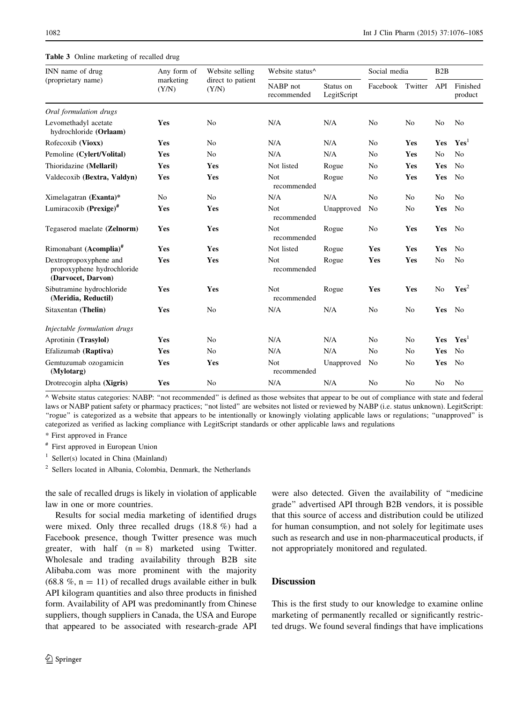<span id="page-6-0"></span>Table 3 Online marketing of recalled drug

| INN name of drug                                                           | Any form of        | Website selling            | Website status^           |                          | Social media   |                | B2B            |                     |
|----------------------------------------------------------------------------|--------------------|----------------------------|---------------------------|--------------------------|----------------|----------------|----------------|---------------------|
| (proprietary name)                                                         | marketing<br>(Y/N) | direct to patient<br>(Y/N) | NABP not<br>recommended   | Status on<br>LegitScript | Facebook       | Twitter        | API            | Finished<br>product |
| Oral formulation drugs                                                     |                    |                            |                           |                          |                |                |                |                     |
| Levomethadyl acetate<br>hydrochloride (Orlaam)                             | Yes                | N <sub>0</sub>             | N/A                       | N/A                      | N <sub>0</sub> | No             | No             | N <sub>0</sub>      |
| Rofecoxib (Vioxx)                                                          | Yes                | N <sub>0</sub>             | N/A                       | N/A                      | N <sub>0</sub> | Yes            | Yes            | $\mathbf{Yes}^1$    |
| Pemoline (Cylert/Volital)                                                  | Yes                | N <sub>0</sub>             | N/A                       | N/A                      | N <sub>0</sub> | <b>Yes</b>     | N <sub>0</sub> | N <sub>0</sub>      |
| Thioridazine (Mellaril)                                                    | Yes                | Yes                        | Not listed                | Rogue                    | No             | <b>Yes</b>     | Yes            | N <sub>0</sub>      |
| Valdecoxib (Bextra, Valdyn)                                                | Yes                | Yes                        | Not<br>recommended        | Rogue                    | No             | Yes            | Yes            | N <sub>0</sub>      |
| Ximelagatran (Exanta)*                                                     | N <sub>0</sub>     | N <sub>0</sub>             | N/A                       | N/A                      | N <sub>0</sub> | N <sub>0</sub> | N <sub>0</sub> | N <sub>0</sub>      |
| Lumiracoxib (Prexige) <sup>#</sup>                                         | Yes                | Yes                        | <b>Not</b><br>recommended | Unapproved               | N <sub>0</sub> | N <sub>0</sub> | Yes            | N <sub>0</sub>      |
| Tegaserod maelate (Zelnorm)                                                | Yes                | Yes                        | <b>Not</b><br>recommended | Rogue                    | No             | Yes            | <b>Yes</b>     | - No                |
| Rimonabant (Acomplia) <sup>#</sup>                                         | Yes                | Yes                        | Not listed                | Rogue                    | Yes            | Yes            | Yes            | N <sub>0</sub>      |
| Dextropropoxyphene and<br>propoxyphene hydrochloride<br>(Darvocet, Darvon) | Yes                | Yes                        | <b>Not</b><br>recommended | Rogue                    | Yes            | Yes            | N <sub>0</sub> | N <sub>0</sub>      |
| Sibutramine hydrochloride<br>(Meridia, Reductil)                           | Yes                | Yes                        | Not<br>recommended        | Rogue                    | Yes            | Yes            | N <sub>o</sub> | Yes <sup>2</sup>    |
| Sitaxentan (Thelin)                                                        | Yes                | N <sub>0</sub>             | N/A                       | N/A                      | N <sub>0</sub> | No             | <b>Yes</b>     | No                  |
| Injectable formulation drugs                                               |                    |                            |                           |                          |                |                |                |                     |
| Aprotinin (Trasylol)                                                       | Yes                | N <sub>0</sub>             | N/A                       | N/A                      | N <sub>0</sub> | N <sub>0</sub> |                | $Yes$ $Yes1$        |
| Efalizumab (Raptiva)                                                       | Yes                | N <sub>0</sub>             | N/A                       | N/A                      | No             | No             | Yes            | No                  |
| Gemtuzumab ozogamicin<br>(Mylotarg)                                        | Yes                | Yes                        | <b>Not</b><br>recommended | Unapproved               | N <sub>0</sub> | No             | Yes            | N <sub>0</sub>      |
| Drotrecogin alpha (Xigris)                                                 | Yes                | N <sub>0</sub>             | N/A                       | N/A                      | N <sub>0</sub> | N <sub>0</sub> | N <sub>0</sub> | N <sub>0</sub>      |

^ Website status categories: NABP: ''not recommended'' is defined as those websites that appear to be out of compliance with state and federal laws or NABP patient safety or pharmacy practices; ''not listed'' are websites not listed or reviewed by NABP (i.e. status unknown). LegitScript: ''rogue'' is categorized as a website that appears to be intentionally or knowingly violating applicable laws or regulations; ''unapproved'' is categorized as verified as lacking compliance with LegitScript standards or other applicable laws and regulations

\* First approved in France

# First approved in European Union

 $<sup>1</sup>$  Seller(s) located in China (Mainland)</sup>

<sup>2</sup> Sellers located in Albania, Colombia, Denmark, the Netherlands

the sale of recalled drugs is likely in violation of applicable law in one or more countries.

Results for social media marketing of identified drugs were mixed. Only three recalled drugs (18.8 %) had a Facebook presence, though Twitter presence was much greater, with half  $(n = 8)$  marketed using Twitter. Wholesale and trading availability through B2B site Alibaba.com was more prominent with the majority (68.8 %,  $n = 11$ ) of recalled drugs available either in bulk API kilogram quantities and also three products in finished form. Availability of API was predominantly from Chinese suppliers, though suppliers in Canada, the USA and Europe that appeared to be associated with research-grade API were also detected. Given the availability of ''medicine grade'' advertised API through B2B vendors, it is possible that this source of access and distribution could be utilized for human consumption, and not solely for legitimate uses such as research and use in non-pharmaceutical products, if not appropriately monitored and regulated.

# Discussion

This is the first study to our knowledge to examine online marketing of permanently recalled or significantly restricted drugs. We found several findings that have implications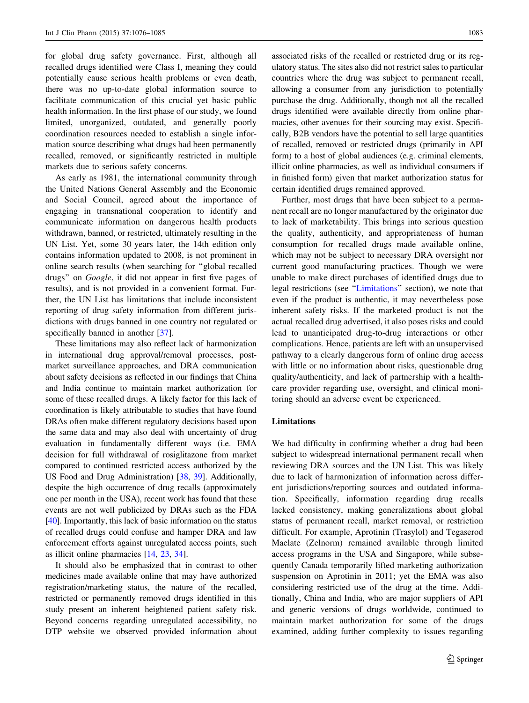for global drug safety governance. First, although all recalled drugs identified were Class I, meaning they could potentially cause serious health problems or even death, there was no up-to-date global information source to facilitate communication of this crucial yet basic public health information. In the first phase of our study, we found limited, unorganized, outdated, and generally poorly coordination resources needed to establish a single information source describing what drugs had been permanently recalled, removed, or significantly restricted in multiple markets due to serious safety concerns.

As early as 1981, the international community through the United Nations General Assembly and the Economic and Social Council, agreed about the importance of engaging in transnational cooperation to identify and communicate information on dangerous health products withdrawn, banned, or restricted, ultimately resulting in the UN List. Yet, some 30 years later, the 14th edition only contains information updated to 2008, is not prominent in online search results (when searching for ''global recalled drugs'' on Google, it did not appear in first five pages of results), and is not provided in a convenient format. Further, the UN List has limitations that include inconsistent reporting of drug safety information from different jurisdictions with drugs banned in one country not regulated or specifically banned in another [\[37](#page-9-0)].

These limitations may also reflect lack of harmonization in international drug approval/removal processes, postmarket surveillance approaches, and DRA communication about safety decisions as reflected in our findings that China and India continue to maintain market authorization for some of these recalled drugs. A likely factor for this lack of coordination is likely attributable to studies that have found DRAs often make different regulatory decisions based upon the same data and may also deal with uncertainty of drug evaluation in fundamentally different ways (i.e. EMA decision for full withdrawal of rosiglitazone from market compared to continued restricted access authorized by the US Food and Drug Administration) [\[38,](#page-9-0) [39\]](#page-9-0). Additionally, despite the high occurrence of drug recalls (approximately one per month in the USA), recent work has found that these events are not well publicized by DRAs such as the FDA [\[40](#page-9-0)]. Importantly, this lack of basic information on the status of recalled drugs could confuse and hamper DRA and law enforcement efforts against unregulated access points, such as illicit online pharmacies [\[14](#page-8-0), [23,](#page-8-0) [34](#page-9-0)].

It should also be emphasized that in contrast to other medicines made available online that may have authorized registration/marketing status, the nature of the recalled, restricted or permanently removed drugs identified in this study present an inherent heightened patient safety risk. Beyond concerns regarding unregulated accessibility, no DTP website we observed provided information about

associated risks of the recalled or restricted drug or its regulatory status. The sites also did not restrict sales to particular countries where the drug was subject to permanent recall, allowing a consumer from any jurisdiction to potentially purchase the drug. Additionally, though not all the recalled drugs identified were available directly from online pharmacies, other avenues for their sourcing may exist. Specifically, B2B vendors have the potential to sell large quantities of recalled, removed or restricted drugs (primarily in API form) to a host of global audiences (e.g. criminal elements, illicit online pharmacies, as well as individual consumers if in finished form) given that market authorization status for certain identified drugs remained approved.

Further, most drugs that have been subject to a permanent recall are no longer manufactured by the originator due to lack of marketability. This brings into serious question the quality, authenticity, and appropriateness of human consumption for recalled drugs made available online, which may not be subject to necessary DRA oversight nor current good manufacturing practices. Though we were unable to make direct purchases of identified drugs due to legal restrictions (see ''Limitations'' section), we note that even if the product is authentic, it may nevertheless pose inherent safety risks. If the marketed product is not the actual recalled drug advertised, it also poses risks and could lead to unanticipated drug-to-drug interactions or other complications. Hence, patients are left with an unsupervised pathway to a clearly dangerous form of online drug access with little or no information about risks, questionable drug quality/authenticity, and lack of partnership with a healthcare provider regarding use, oversight, and clinical monitoring should an adverse event be experienced.

#### Limitations

We had difficulty in confirming whether a drug had been subject to widespread international permanent recall when reviewing DRA sources and the UN List. This was likely due to lack of harmonization of information across different jurisdictions/reporting sources and outdated information. Specifically, information regarding drug recalls lacked consistency, making generalizations about global status of permanent recall, market removal, or restriction difficult. For example, Aprotinin (Trasylol) and Tegaserod Maelate (Zelnorm) remained available through limited access programs in the USA and Singapore, while subsequently Canada temporarily lifted marketing authorization suspension on Aprotinin in 2011; yet the EMA was also considering restricted use of the drug at the time. Additionally, China and India, who are major suppliers of API and generic versions of drugs worldwide, continued to maintain market authorization for some of the drugs examined, adding further complexity to issues regarding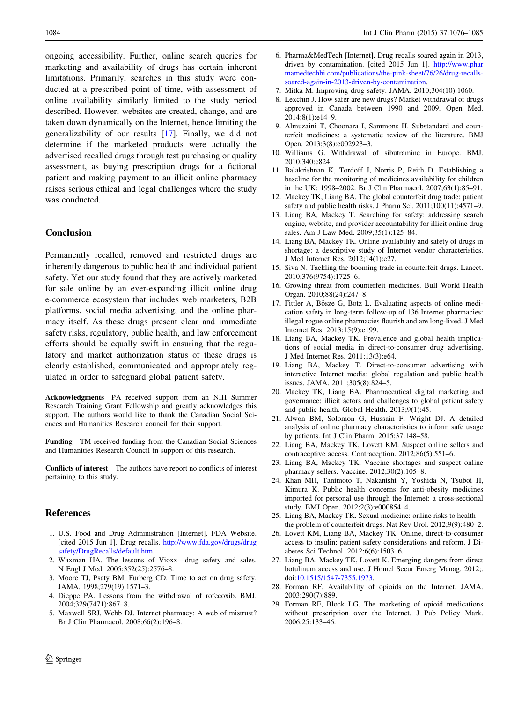<span id="page-8-0"></span>ongoing accessibility. Further, online search queries for marketing and availability of drugs has certain inherent limitations. Primarily, searches in this study were conducted at a prescribed point of time, with assessment of online availability similarly limited to the study period described. However, websites are created, change, and are taken down dynamically on the Internet, hence limiting the generalizability of our results [17]. Finally, we did not determine if the marketed products were actually the advertised recalled drugs through test purchasing or quality assessment, as buying prescription drugs for a fictional patient and making payment to an illicit online pharmacy raises serious ethical and legal challenges where the study was conducted.

# Conclusion

Permanently recalled, removed and restricted drugs are inherently dangerous to public health and individual patient safety. Yet our study found that they are actively marketed for sale online by an ever-expanding illicit online drug e-commerce ecosystem that includes web marketers, B2B platforms, social media advertising, and the online pharmacy itself. As these drugs present clear and immediate safety risks, regulatory, public health, and law enforcement efforts should be equally swift in ensuring that the regulatory and market authorization status of these drugs is clearly established, communicated and appropriately regulated in order to safeguard global patient safety.

Acknowledgments PA received support from an NIH Summer Research Training Grant Fellowship and greatly acknowledges this support. The authors would like to thank the Canadian Social Sciences and Humanities Research council for their support.

Funding TM received funding from the Canadian Social Sciences and Humanities Research Council in support of this research.

Conflicts of interest The authors have report no conflicts of interest pertaining to this study.

#### References

- 1. U.S. Food and Drug Administration [Internet]. FDA Website. [cited 2015 Jun 1]. Drug recalls. [http://www.fda.gov/drugs/drug](http://www.fda.gov/drugs/drugsafety/DrugRecalls/default.htm) [safety/DrugRecalls/default.htm](http://www.fda.gov/drugs/drugsafety/DrugRecalls/default.htm).
- 2. Waxman HA. The lessons of Vioxx—drug safety and sales. N Engl J Med. 2005;352(25):2576–8.
- 3. Moore TJ, Psaty BM, Furberg CD. Time to act on drug safety. JAMA. 1998;279(19):1571–3.
- 4. Dieppe PA. Lessons from the withdrawal of rofecoxib. BMJ. 2004;329(7471):867–8.
- 5. Maxwell SRJ, Webb DJ. Internet pharmacy: A web of mistrust? Br J Clin Pharmacol. 2008;66(2):196–8.
- 6. Pharma&MedTech [Internet]. Drug recalls soared again in 2013, driven by contamination. [cited 2015 Jun 1]. [http://www.phar](http://www.pharmamedtechbi.com/publications/the-pink-sheet/76/26/drug-recalls-soared-again-in-2013-driven-by-contamination) [mamedtechbi.com/publications/the-pink-sheet/76/26/drug-recalls](http://www.pharmamedtechbi.com/publications/the-pink-sheet/76/26/drug-recalls-soared-again-in-2013-driven-by-contamination)[soared-again-in-2013-driven-by-contamination.](http://www.pharmamedtechbi.com/publications/the-pink-sheet/76/26/drug-recalls-soared-again-in-2013-driven-by-contamination)
- 7. Mitka M. Improving drug safety. JAMA. 2010;304(10):1060.
- 8. Lexchin J. How safer are new drugs? Market withdrawal of drugs approved in Canada between 1990 and 2009. Open Med. 2014;8(1):e14–9.
- 9. Almuzaini T, Choonara I, Sammons H. Substandard and counterfeit medicines: a systematic review of the literature. BMJ Open. 2013;3(8):e002923–3.
- 10. Williams G. Withdrawal of sibutramine in Europe. BMJ. 2010;340:c824.
- 11. Balakrishnan K, Tordoff J, Norris P, Reith D. Establishing a baseline for the monitoring of medicines availability for children in the UK: 1998–2002. Br J Clin Pharmacol. 2007;63(1):85–91.
- 12. Mackey TK, Liang BA. The global counterfeit drug trade: patient safety and public health risks. J Pharm Sci. 2011;100(11):4571–9.
- 13. Liang BA, Mackey T. Searching for safety: addressing search engine, website, and provider accountability for illicit online drug sales. Am J Law Med. 2009;35(1):125–84.
- 14. Liang BA, Mackey TK. Online availability and safety of drugs in shortage: a descriptive study of Internet vendor characteristics. J Med Internet Res. 2012;14(1):e27.
- 15. Siva N. Tackling the booming trade in counterfeit drugs. Lancet. 2010;376(9754):1725–6.
- 16. Growing threat from counterfeit medicines. Bull World Health Organ. 2010;88(24):247–8.
- 17. Fittler A, Bősze G, Botz L. Evaluating aspects of online medication safety in long-term follow-up of 136 Internet pharmacies: illegal rogue online pharmacies flourish and are long-lived. J Med Internet Res. 2013;15(9):e199.
- 18. Liang BA, Mackey TK. Prevalence and global health implications of social media in direct-to-consumer drug advertising. J Med Internet Res. 2011;13(3):e64.
- 19. Liang BA, Mackey T. Direct-to-consumer advertising with interactive Internet media: global regulation and public health issues. JAMA. 2011;305(8):824–5.
- 20. Mackey TK, Liang BA. Pharmaceutical digital marketing and governance: illicit actors and challenges to global patient safety and public health. Global Health. 2013;9(1):45.
- 21. Alwon BM, Solomon G, Hussain F, Wright DJ. A detailed analysis of online pharmacy characteristics to inform safe usage by patients. Int J Clin Pharm. 2015;37:148–58.
- 22. Liang BA, Mackey TK, Lovett KM. Suspect online sellers and contraceptive access. Contraception. 2012;86(5):551–6.
- 23. Liang BA, Mackey TK. Vaccine shortages and suspect online pharmacy sellers. Vaccine. 2012;30(2):105–8.
- 24. Khan MH, Tanimoto T, Nakanishi Y, Yoshida N, Tsuboi H, Kimura K. Public health concerns for anti-obesity medicines imported for personal use through the Internet: a cross-sectional study. BMJ Open. 2012;2(3):e000854–4.
- 25. Liang BA, Mackey TK. Sexual medicine: online risks to health the problem of counterfeit drugs. Nat Rev Urol. 2012;9(9):480–2.
- 26. Lovett KM, Liang BA, Mackey TK. Online, direct-to-consumer access to insulin: patient safety considerations and reform. J Diabetes Sci Technol. 2012;6(6):1503–6.
- 27. Liang BA, Mackey TK, Lovett K. Emerging dangers from direct botulinum access and use. J Homel Secur Emerg Manag. 2012;. doi:[10.1515/1547-7355.1973.](http://dx.doi.org/10.1515/1547-7355.1973)
- 28. Forman RF. Availability of opioids on the Internet. JAMA. 2003;290(7):889.
- 29. Forman RF, Block LG. The marketing of opioid medications without prescription over the Internet. J Pub Policy Mark. 2006;25:133–46.